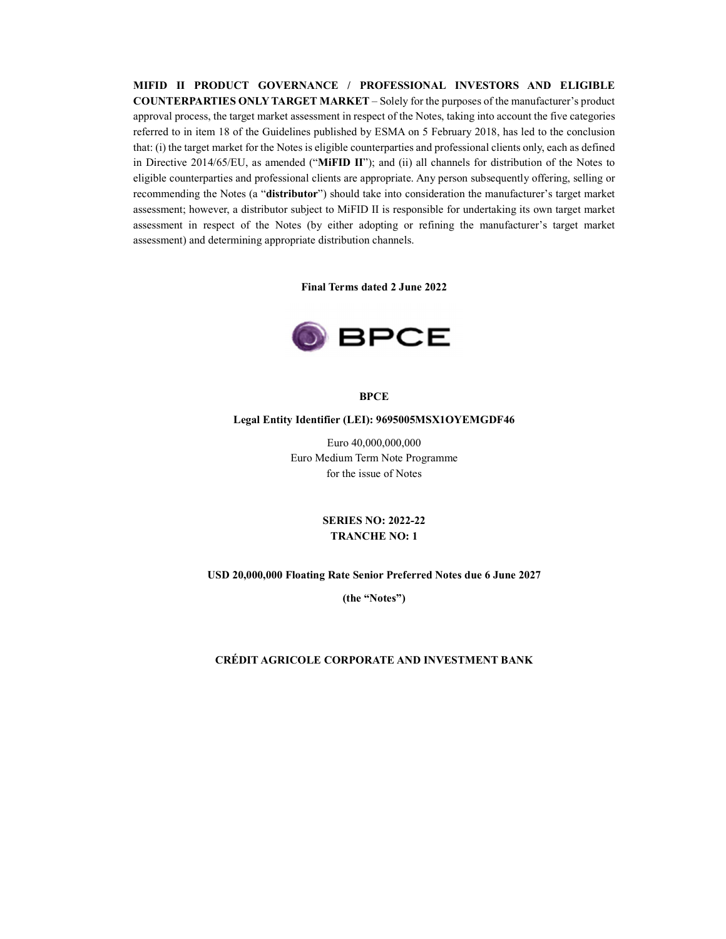**MIFID II PRODUCT GOVERNANCE / PROFESSIONAL INVESTORS AND ELIGIBLE COUNTERPARTIES ONLY TARGET MARKET** – Solely for the purposes of the manufacturer's product approval process, the target market assessment in respect of the Notes, taking into account the five categories referred to in item 18 of the Guidelines published by ESMA on 5 February 2018, has led to the conclusion that: (i) the target market for the Notes is eligible counterparties and professional clients only, each as defined in Directive 2014/65/EU, as amended ("**MiFID II**"); and (ii) all channels for distribution of the Notes to eligible counterparties and professional clients are appropriate. Any person subsequently offering, selling or recommending the Notes (a "**distributor**") should take into consideration the manufacturer's target market assessment; however, a distributor subject to MiFID II is responsible for undertaking its own target market assessment in respect of the Notes (by either adopting or refining the manufacturer's target market assessment) and determining appropriate distribution channels.

**Final Terms dated 2 June 2022**



**BPCE**

#### **Legal Entity Identifier (LEI): 9695005MSX1OYEMGDF46**

Euro 40,000,000,000 Euro Medium Term Note Programme for the issue of Notes

# **SERIES NO: 2022-22 TRANCHE NO: 1**

#### **USD 20,000,000 Floating Rate Senior Preferred Notes due 6 June 2027**

**(the "Notes")**

#### **CRÉDIT AGRICOLE CORPORATE AND INVESTMENT BANK**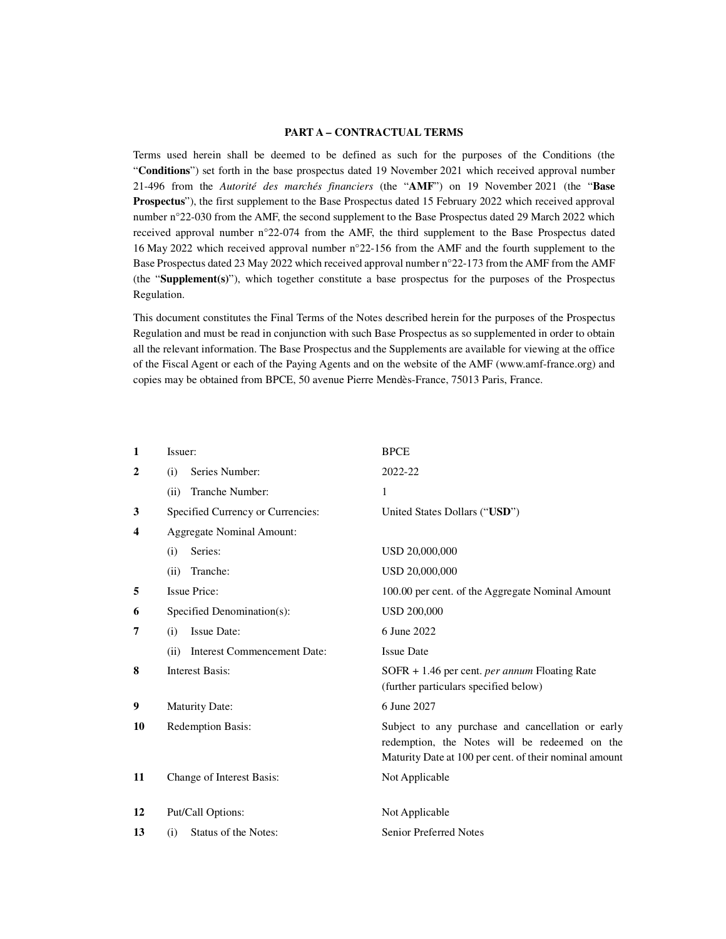#### **PART A – CONTRACTUAL TERMS**

Terms used herein shall be deemed to be defined as such for the purposes of the Conditions (the "**Conditions**") set forth in the base prospectus dated 19 November 2021 which received approval number 21-496 from the *Autorité des marchés financiers* (the "**AMF**") on 19 November 2021 (the "**Base Prospectus**"), the first supplement to the Base Prospectus dated 15 February 2022 which received approval number n°22-030 from the AMF, the second supplement to the Base Prospectus dated 29 March 2022 which received approval number n°22-074 from the AMF, the third supplement to the Base Prospectus dated 16 May 2022 which received approval number n°22-156 from the AMF and the fourth supplement to the Base Prospectus dated 23 May 2022 which received approval number n°22-173 from the AMF from the AMF (the "**Supplement(s)**"), which together constitute a base prospectus for the purposes of the Prospectus Regulation.

This document constitutes the Final Terms of the Notes described herein for the purposes of the Prospectus Regulation and must be read in conjunction with such Base Prospectus as so supplemented in order to obtain all the relevant information. The Base Prospectus and the Supplements are available for viewing at the office of the Fiscal Agent or each of the Paying Agents and on the website of the AMF (www.amf-france.org) and copies may be obtained from BPCE, 50 avenue Pierre Mendès-France, 75013 Paris, France.

| $\mathbf{1}$ | Issuer:                                    | <b>BPCE</b>                                                                                                                                                  |
|--------------|--------------------------------------------|--------------------------------------------------------------------------------------------------------------------------------------------------------------|
| $\mathbf{2}$ | Series Number:<br>(i)                      | 2022-22                                                                                                                                                      |
|              | Tranche Number:<br>(ii)                    | 1                                                                                                                                                            |
| 3            | Specified Currency or Currencies:          | United States Dollars ("USD")                                                                                                                                |
| 4            | <b>Aggregate Nominal Amount:</b>           |                                                                                                                                                              |
|              | Series:<br>(i)                             | USD 20,000,000                                                                                                                                               |
|              | Tranche:<br>(ii)                           | USD 20,000,000                                                                                                                                               |
| 5            | <b>Issue Price:</b>                        | 100.00 per cent. of the Aggregate Nominal Amount                                                                                                             |
| 6            | Specified Denomination(s):                 | <b>USD 200,000</b>                                                                                                                                           |
| 7            | Issue Date:<br>(i)                         | 6 June 2022                                                                                                                                                  |
|              | <b>Interest Commencement Date:</b><br>(ii) | <b>Issue Date</b>                                                                                                                                            |
| 8            | <b>Interest Basis:</b>                     | $SOFR + 1.46$ per cent. <i>per annum</i> Floating Rate<br>(further particulars specified below)                                                              |
| 9            | <b>Maturity Date:</b>                      | 6 June 2027                                                                                                                                                  |
| 10           | <b>Redemption Basis:</b>                   | Subject to any purchase and cancellation or early<br>redemption, the Notes will be redeemed on the<br>Maturity Date at 100 per cent. of their nominal amount |
| 11           | Change of Interest Basis:                  | Not Applicable                                                                                                                                               |
| 12           | Put/Call Options:                          | Not Applicable                                                                                                                                               |
| 13           | Status of the Notes:<br>(i)                | <b>Senior Preferred Notes</b>                                                                                                                                |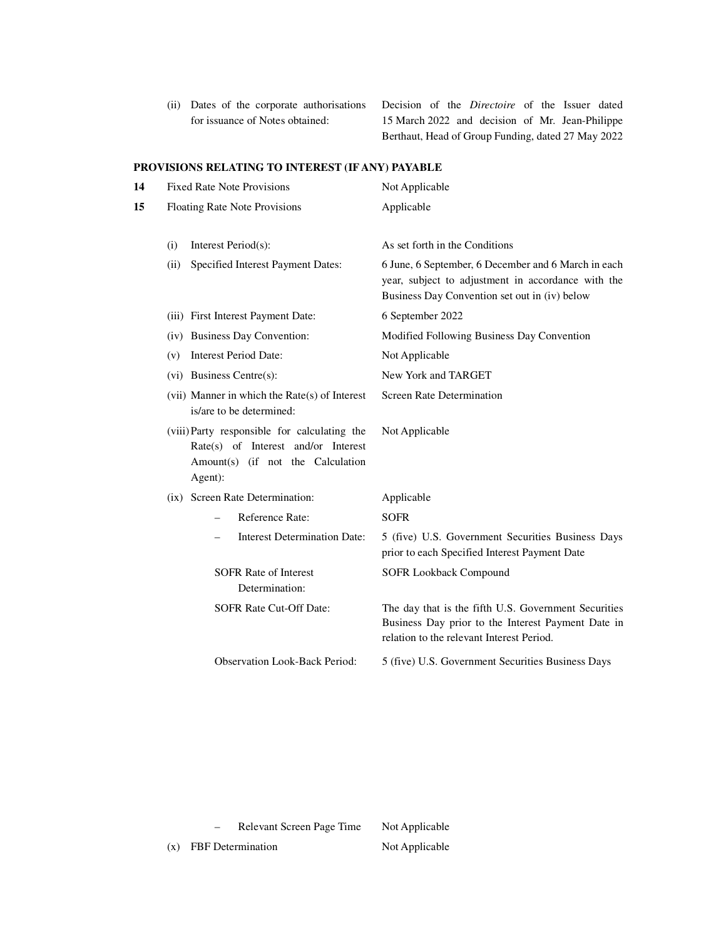(ii) Dates of the corporate authorisations for issuance of Notes obtained:

Decision of the *Directoire* of the Issuer dated 15 March 2022 and decision of Mr. Jean-Philippe Berthaut, Head of Group Funding, dated 27 May 2022

# **PROVISIONS RELATING TO INTEREST (IF ANY) PAYABLE**

| 14 |      | <b>Fixed Rate Note Provisions</b>                                                                                                   | Not Applicable                                                                                                                                             |
|----|------|-------------------------------------------------------------------------------------------------------------------------------------|------------------------------------------------------------------------------------------------------------------------------------------------------------|
| 15 |      | Floating Rate Note Provisions                                                                                                       | Applicable                                                                                                                                                 |
|    | (i)  | Interest Period(s):                                                                                                                 | As set forth in the Conditions                                                                                                                             |
|    | (ii) | Specified Interest Payment Dates:                                                                                                   | 6 June, 6 September, 6 December and 6 March in each<br>year, subject to adjustment in accordance with the<br>Business Day Convention set out in (iv) below |
|    |      | (iii) First Interest Payment Date:                                                                                                  | 6 September 2022                                                                                                                                           |
|    |      | (iv) Business Day Convention:                                                                                                       | Modified Following Business Day Convention                                                                                                                 |
|    | (v)  | <b>Interest Period Date:</b>                                                                                                        | Not Applicable                                                                                                                                             |
|    |      | $(vi)$ Business Centre $(s)$ :                                                                                                      | New York and TARGET                                                                                                                                        |
|    |      | (vii) Manner in which the Rate(s) of Interest<br>is/are to be determined:                                                           | <b>Screen Rate Determination</b>                                                                                                                           |
|    |      | (viii) Party responsible for calculating the<br>Rate(s) of Interest and/or Interest<br>Amount(s) (if not the Calculation<br>Agent): | Not Applicable                                                                                                                                             |
|    |      | (ix) Screen Rate Determination:                                                                                                     | Applicable                                                                                                                                                 |
|    |      | Reference Rate:                                                                                                                     | <b>SOFR</b>                                                                                                                                                |
|    |      | <b>Interest Determination Date:</b>                                                                                                 | 5 (five) U.S. Government Securities Business Days<br>prior to each Specified Interest Payment Date                                                         |
|    |      | <b>SOFR Rate of Interest</b><br>Determination:                                                                                      | <b>SOFR Lookback Compound</b>                                                                                                                              |
|    |      | SOFR Rate Cut-Off Date:                                                                                                             | The day that is the fifth U.S. Government Securities<br>Business Day prior to the Interest Payment Date in<br>relation to the relevant Interest Period.    |
|    |      | <b>Observation Look-Back Period:</b>                                                                                                | 5 (five) U.S. Government Securities Business Days                                                                                                          |
|    |      |                                                                                                                                     |                                                                                                                                                            |

- Relevant Screen Page Time Not Applicable

(x) FBF Determination Not Applicable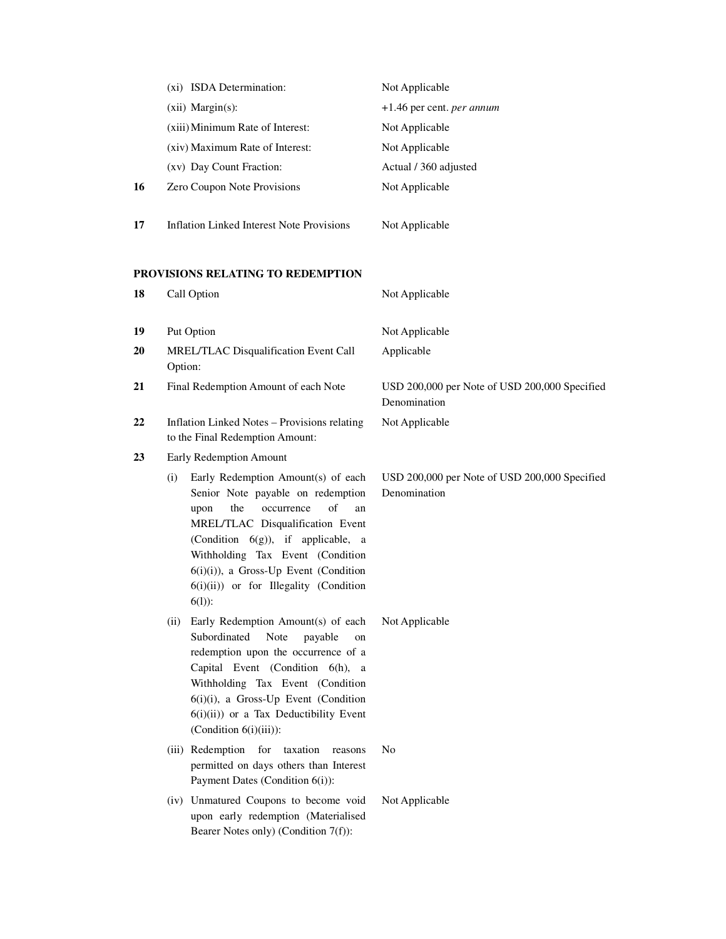|    | (xi) ISDA Determination:                                                                                                                                                                                                                                                                                                                   | Not Applicable                                                |
|----|--------------------------------------------------------------------------------------------------------------------------------------------------------------------------------------------------------------------------------------------------------------------------------------------------------------------------------------------|---------------------------------------------------------------|
|    | $(xii)$ Margin $(s)$ :                                                                                                                                                                                                                                                                                                                     | +1.46 per cent. per annum                                     |
|    | (xiii) Minimum Rate of Interest:                                                                                                                                                                                                                                                                                                           | Not Applicable                                                |
|    | (xiv) Maximum Rate of Interest:                                                                                                                                                                                                                                                                                                            | Not Applicable                                                |
|    | (xv) Day Count Fraction:                                                                                                                                                                                                                                                                                                                   | Actual / 360 adjusted                                         |
| 16 | Zero Coupon Note Provisions                                                                                                                                                                                                                                                                                                                | Not Applicable                                                |
| 17 | <b>Inflation Linked Interest Note Provisions</b>                                                                                                                                                                                                                                                                                           | Not Applicable                                                |
|    | PROVISIONS RELATING TO REDEMPTION                                                                                                                                                                                                                                                                                                          |                                                               |
| 18 | Call Option                                                                                                                                                                                                                                                                                                                                | Not Applicable                                                |
| 19 | Put Option                                                                                                                                                                                                                                                                                                                                 | Not Applicable                                                |
| 20 | MREL/TLAC Disqualification Event Call<br>Option:                                                                                                                                                                                                                                                                                           | Applicable                                                    |
| 21 | Final Redemption Amount of each Note                                                                                                                                                                                                                                                                                                       | USD 200,000 per Note of USD 200,000 Specified<br>Denomination |
| 22 | <b>Inflation Linked Notes - Provisions relating</b><br>to the Final Redemption Amount:                                                                                                                                                                                                                                                     | Not Applicable                                                |
| 23 | <b>Early Redemption Amount</b>                                                                                                                                                                                                                                                                                                             |                                                               |
|    | Early Redemption Amount(s) of each<br>(i)<br>Senior Note payable on redemption<br>of<br>the<br>occurrence<br>upon<br>an<br>MREL/TLAC Disqualification Event<br>(Condition $6(g)$ ), if applicable, a<br>Withholding Tax Event (Condition<br>$6(i)(i)$ , a Gross-Up Event (Condition<br>$6(i)(ii)$ or for Illegality (Condition<br>$6(1)$ : | USD 200,000 per Note of USD 200,000 Specified<br>Denomination |
|    | Early Redemption Amount(s) of each<br>(ii)<br>Subordinated<br>Note<br>payable<br>on<br>redemption upon the occurrence of a<br>Capital Event (Condition 6(h), a<br>Withholding Tax Event (Condition<br>6(i)(i), a Gross-Up Event (Condition<br>$6(i)(ii)$ or a Tax Deductibility Event<br>(Condition $6(i)(iii)$ ):                         | Not Applicable                                                |
|    | (iii) Redemption for<br>taxation<br>reasons<br>permitted on days others than Interest<br>Payment Dates (Condition 6(i)):                                                                                                                                                                                                                   | N <sub>o</sub>                                                |
|    | (iv) Unmatured Coupons to become void<br>upon early redemption (Materialised<br>Bearer Notes only) (Condition 7(f)):                                                                                                                                                                                                                       | Not Applicable                                                |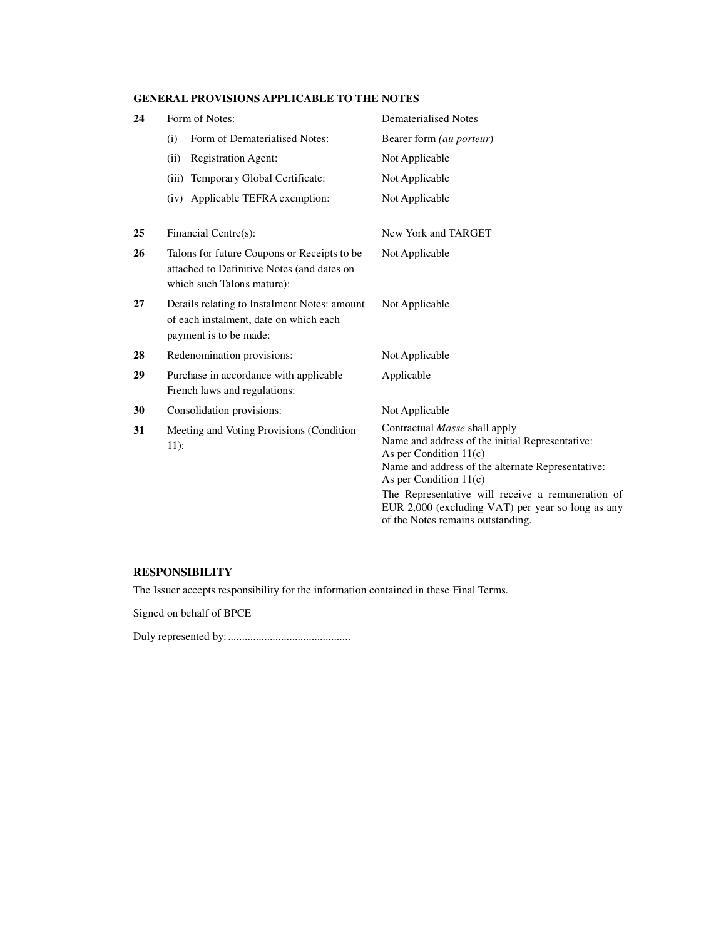# **GENERAL PROVISIONS APPLICABLE TO THE NOTES**

| 24 | Form of Notes:                                                                                                          | <b>Dematerialised Notes</b>                                                                                                                                                                                                                        |
|----|-------------------------------------------------------------------------------------------------------------------------|----------------------------------------------------------------------------------------------------------------------------------------------------------------------------------------------------------------------------------------------------|
|    | Form of Dematerialised Notes:<br>(i)                                                                                    | Bearer form (au porteur)                                                                                                                                                                                                                           |
|    | (ii)<br><b>Registration Agent:</b>                                                                                      | Not Applicable                                                                                                                                                                                                                                     |
|    | (iii) Temporary Global Certificate:                                                                                     | Not Applicable                                                                                                                                                                                                                                     |
|    | (iv) Applicable TEFRA exemption:                                                                                        | Not Applicable                                                                                                                                                                                                                                     |
| 25 | Financial Centre(s):                                                                                                    | New York and TARGET                                                                                                                                                                                                                                |
| 26 | Talons for future Coupons or Receipts to be<br>attached to Definitive Notes (and dates on<br>which such Talons mature): | Not Applicable                                                                                                                                                                                                                                     |
| 27 | Details relating to Instalment Notes: amount<br>of each instalment, date on which each<br>payment is to be made:        | Not Applicable                                                                                                                                                                                                                                     |
| 28 | Redenomination provisions:                                                                                              | Not Applicable                                                                                                                                                                                                                                     |
| 29 | Purchase in accordance with applicable<br>French laws and regulations:                                                  | Applicable                                                                                                                                                                                                                                         |
| 30 | Consolidation provisions:                                                                                               | Not Applicable                                                                                                                                                                                                                                     |
| 31 | Meeting and Voting Provisions (Condition<br>$11)$ :                                                                     | Contractual Masse shall apply<br>Name and address of the initial Representative:<br>As per Condition $11(c)$<br>Name and address of the alternate Representative:<br>As per Condition $11(c)$<br>The Representative will receive a remuneration of |
|    |                                                                                                                         | EUR 2,000 (excluding VAT) per year so long as any<br>of the Notes remains outstanding.                                                                                                                                                             |

# **RESPONSIBILITY**

The Issuer accepts responsibility for the information contained in these Final Terms.

Signed on behalf of BPCE

Duly represented by: ............................................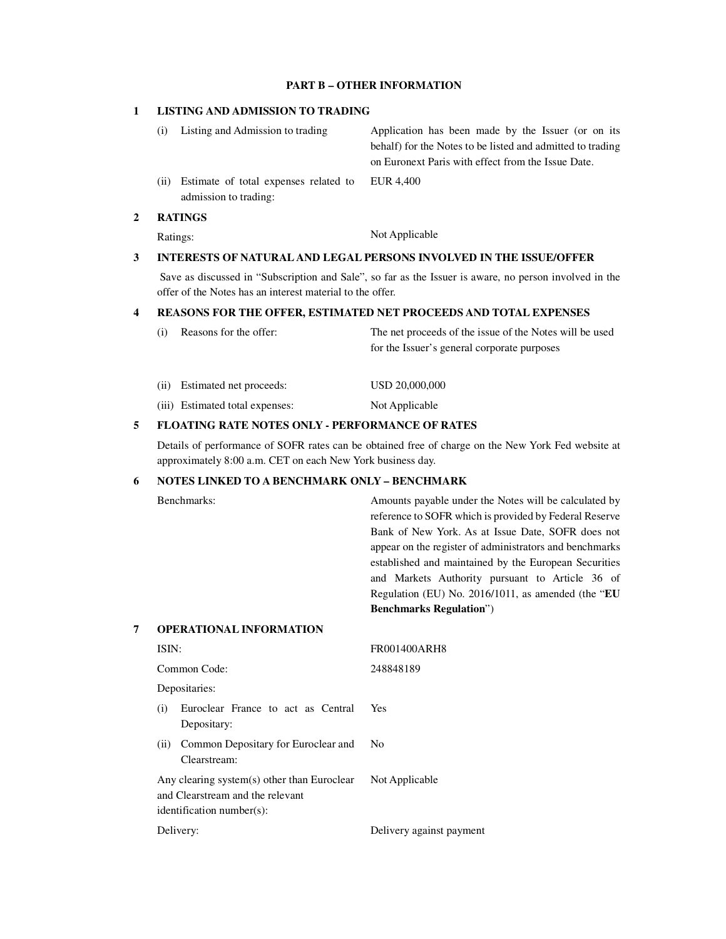## **PART B – OTHER INFORMATION**

## **1 LISTING AND ADMISSION TO TRADING**

|      | Listing and Admission to trading                               | Application has been made by the Issuer (or on its         |
|------|----------------------------------------------------------------|------------------------------------------------------------|
|      |                                                                | behalf) for the Notes to be listed and admitted to trading |
|      |                                                                | on Euronext Paris with effect from the Issue Date.         |
| (ii) | Estimate of total expenses related to<br>admission to trading: | EUR 4,400                                                  |

## **2 RATINGS**

Ratings: Not Applicable

# **3 INTERESTS OF NATURAL AND LEGAL PERSONS INVOLVED IN THE ISSUE/OFFER**

 Save as discussed in "Subscription and Sale", so far as the Issuer is aware, no person involved in the offer of the Notes has an interest material to the offer.

## **4 REASONS FOR THE OFFER, ESTIMATED NET PROCEEDS AND TOTAL EXPENSES**

| $_{(1)}$ | Reasons for the offer:          | The net proceeds of the issue of the Notes will be used<br>for the Issuer's general corporate purposes |
|----------|---------------------------------|--------------------------------------------------------------------------------------------------------|
| (i)      | Estimated net proceeds:         | USD 20,000,000                                                                                         |
|          | (iii) Estimated total expenses: | Not Applicable                                                                                         |
|          |                                 |                                                                                                        |

#### **5 FLOATING RATE NOTES ONLY - PERFORMANCE OF RATES**

 Details of performance of SOFR rates can be obtained free of charge on the New York Fed website at approximately 8:00 a.m. CET on each New York business day.

## **6 NOTES LINKED TO A BENCHMARK ONLY – BENCHMARK**

|   | Benchmarks:                    | Amounts payable under the Notes will be calculated by   |
|---|--------------------------------|---------------------------------------------------------|
|   |                                | reference to SOFR which is provided by Federal Reserve  |
|   |                                | Bank of New York. As at Issue Date, SOFR does not       |
|   |                                | appear on the register of administrators and benchmarks |
|   |                                | established and maintained by the European Securities   |
|   |                                | and Markets Authority pursuant to Article 36 of         |
|   |                                | Regulation (EU) No. 2016/1011, as amended (the "EU      |
|   |                                | <b>Benchmarks Regulation</b> ")                         |
| 7 | <b>OPERATIONAL INFORMATION</b> |                                                         |
|   | ISIN:                          | <b>FR001400ARH8</b>                                     |
|   | Common Code:                   | 248848189                                               |

Yes

No

Depositaries:

- (i) Euroclear France to act as Central Depositary:
- (ii) Common Depositary for Euroclear and Clearstream:

 Any clearing system(s) other than Euroclear and Clearstream and the relevant identification number(s): Not Applicable

Delivery: Delivery against payment